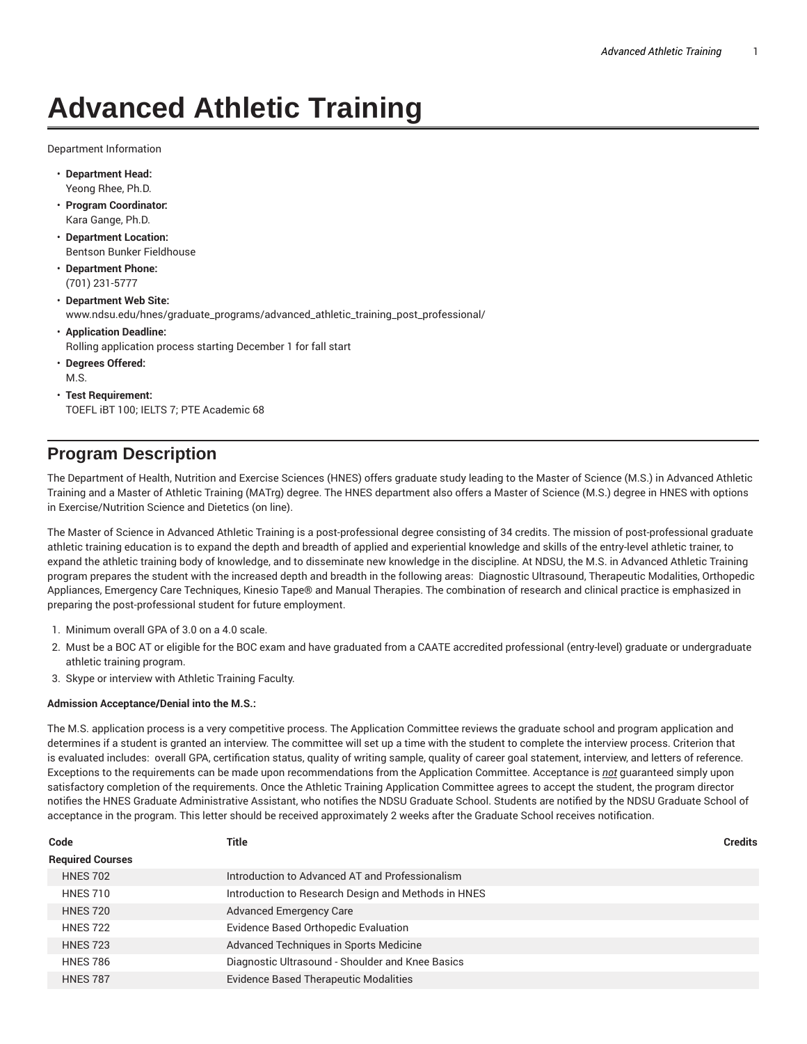# **Advanced Athletic Training**

Department Information

- **Department Head:** Yeong Rhee, Ph.D.
- **Program Coordinator:** Kara Gange, Ph.D.
- **Department Location:** Bentson Bunker Fieldhouse
- **Department Phone:** (701) 231-5777
- **Department Web Site:** www.ndsu.edu/hnes/graduate\_programs/advanced\_athletic\_training\_post\_professional/
- **Application Deadline:** Rolling application process starting December 1 for fall start
- **Degrees Offered:**
- M.S.
- **Test Requirement:** TOEFL iBT 100; IELTS 7; PTE Academic 68

## **Program Description**

The Department of Health, Nutrition and Exercise Sciences (HNES) offers graduate study leading to the Master of Science (M.S.) in Advanced Athletic Training and a Master of Athletic Training (MATrg) degree. The HNES department also offers a Master of Science (M.S.) degree in HNES with options in Exercise/Nutrition Science and Dietetics (on line).

The Master of Science in Advanced Athletic Training is a post-professional degree consisting of 34 credits. The mission of post-professional graduate athletic training education is to expand the depth and breadth of applied and experiential knowledge and skills of the entry-level athletic trainer, to expand the athletic training body of knowledge, and to disseminate new knowledge in the discipline. At NDSU, the M.S. in Advanced Athletic Training program prepares the student with the increased depth and breadth in the following areas: Diagnostic Ultrasound, Therapeutic Modalities, Orthopedic Appliances, Emergency Care Techniques, Kinesio Tape® and Manual Therapies. The combination of research and clinical practice is emphasized in preparing the post-professional student for future employment.

- 1. Minimum overall GPA of 3.0 on a 4.0 scale.
- 2. Must be a BOC AT or eligible for the BOC exam and have graduated from a CAATE accredited professional (entry-level) graduate or undergraduate athletic training program.
- 3. Skype or interview with Athletic Training Faculty.

#### **Admission Acceptance/Denial into the M.S.:**

The M.S. application process is a very competitive process. The Application Committee reviews the graduate school and program application and determines if a student is granted an interview. The committee will set up a time with the student to complete the interview process. Criterion that is evaluated includes: overall GPA, certification status, quality of writing sample, quality of career goal statement, interview, and letters of reference. Exceptions to the requirements can be made upon recommendations from the Application Committee. Acceptance is *not* guaranteed simply upon satisfactory completion of the requirements. Once the Athletic Training Application Committee agrees to accept the student, the program director notifies the HNES Graduate Administrative Assistant, who notifies the NDSU Graduate School. Students are notified by the NDSU Graduate School of acceptance in the program. This letter should be received approximately 2 weeks after the Graduate School receives notification.

| Code                    | Title                                               | <b>Credits</b> |
|-------------------------|-----------------------------------------------------|----------------|
| <b>Required Courses</b> |                                                     |                |
| <b>HNES 702</b>         | Introduction to Advanced AT and Professionalism     |                |
| <b>HNES 710</b>         | Introduction to Research Design and Methods in HNES |                |
| <b>HNES 720</b>         | <b>Advanced Emergency Care</b>                      |                |
| <b>HNES 722</b>         | Evidence Based Orthopedic Evaluation                |                |
| <b>HNES 723</b>         | Advanced Techniques in Sports Medicine              |                |
| <b>HNES 786</b>         | Diagnostic Ultrasound - Shoulder and Knee Basics    |                |
| <b>HNES 787</b>         | <b>Evidence Based Therapeutic Modalities</b>        |                |